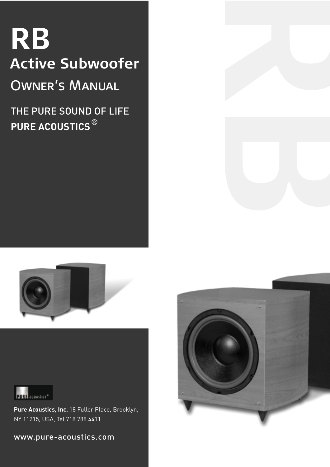# **RB Active Subwoofer**

Owner's Manual

# THE PURE SOUND OF LIFE **PURE ACOUSTICS** ®





**Pure Acoustics, Inc.** 18 Fuller Place, Brooklyn, NY 11215, USA, Tel 718 788 4411

www.pure-acoustics.com



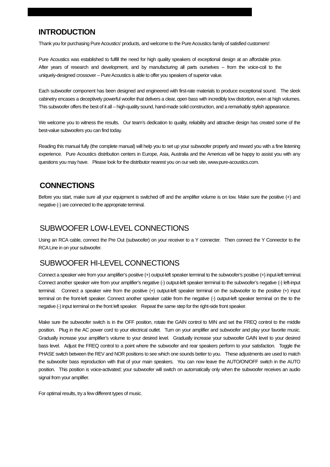### **INTRODUCTION**

Thank you for purchasing Pure Acoustics' products, and welcome to the Pure Acoustics family of satisfied customers!

Pure Acoustics was established to fulfill the need for high quality speakers of exceptional design at an affordable price. After years of research and development, and by manufacturing all parts ourselves -- from the voice-coil to the uniquely-designed crossover -- Pure Acoustics is able to offer you speakers of superior value.

Each subwoofer component has been designed and engineered with first-rate materials to produce exceptional sound. The sleek cabinetry encases a deceptively powerful woofer that delivers a clear, open bass with incredibly low distortion, even at high volumes. This subwoofer offers the best of it all – high-quality sound, hand-made solid construction, and a remarkably stylish appearance.

We welcome you to witness the results. Our team's dedication to quality, reliability and attractive design has created some of the best-value subwoofers you can find today.

Reading this manual fully (the complete manual) will help you to set up your subwoofer properly and reward you with a fine listening experience. Pure Acoustics distribution centers in Europe, Asia, Australia and the Americas will be happy to assist you with any questions you may have. Please look for the distributor nearest you on our web site, www.pure-acoustics.com.

#### **CONNECTIONS**

Before you start, make sure all your equipment is switched off and the amplifier volume is on low. Make sure the positive (+) and negative (-) are connected to the appropriate terminal.

#### SUBWOOFER LOW-LEVEL CONNECTIONS

Using an RCA cable, connect the Pre Out (subwoofer) on your receiver to a Y connecter. Then connect the Y Connector to the RCA Line in on your subwoofer.

#### SUBWOOFER HI-LEVEL CONNECTIONS

Connect a speaker wire from your amplifier's positive (+) output-left speaker terminal to the subwoofer's positive (+) input-left terminal. Connect another speaker wire from your amplifier's negative (-) output-left speaker terminal to the subwoofer's negative (-) left-input terminal. Connect a speaker wire from the positive (+) output-left speaker terminal on the subwoofer to the positive (+) input terminal on the front-left speaker. Connect another speaker cable from the negative (-) output-left speaker terminal on the to the negative (-) input terminal on the front left speaker. Repeat the same step for the right-side front speaker.

Make sure the subwoofer switch is in the OFF position, rotate the GAIN control to MIN and set the FREQ control to the middle position. Plug in the AC power cord to your electrical outlet. Turn on your amplifier and subwoofer and play your favorite music. Gradually increase your amplifier's volume to your desired level. Gradually increase your subwoofer GAIN level to your desired bass level. Adjust the FREQ control to a point where the subwoofer and rear speakers perform to your satisfaction. Toggle the PHASE switch between the REV and NOR positions to see which one sounds better to you. These adjustments are used to match the subwoofer bass reproduction with that of your main speakers. You can now leave the AUTO/ON/OFF switch in the AUTO position. This position is voice-activated; your subwoofer will switch on automatically only when the subwoofer receives an audio signal from your amplifier.

For optimal results, try a few different types of music.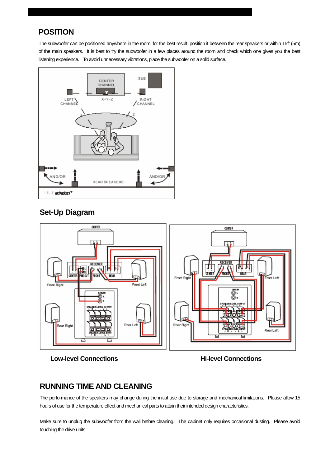# **POSITION**

The subwoofer can be positioned anywhere in the room; for the best result, position it between the rear speakers or within 15ft (5m) of the main speakers. It is best to try the subwoofer in a few places around the room and check which one gives you the best listening experience. To avoid unnecessary vibrations, place the subwoofer on a solid surface.



#### **Set-Up Diagram**



**Low-level Connections Example 20 and Server Connections Hi-level Connections** 

### **RUNNING TIME AND CLEANING**

The performance of the speakers may change during the initial use due to storage and mechanical limitations. Please allow 15 hours of use for the temperature effect and mechanical parts to attain their intended design characteristics.

Make sure to unplug the subwoofer from the wall before cleaning. The cabinet only requires occasional dusting. Please avoid touching the drive units.